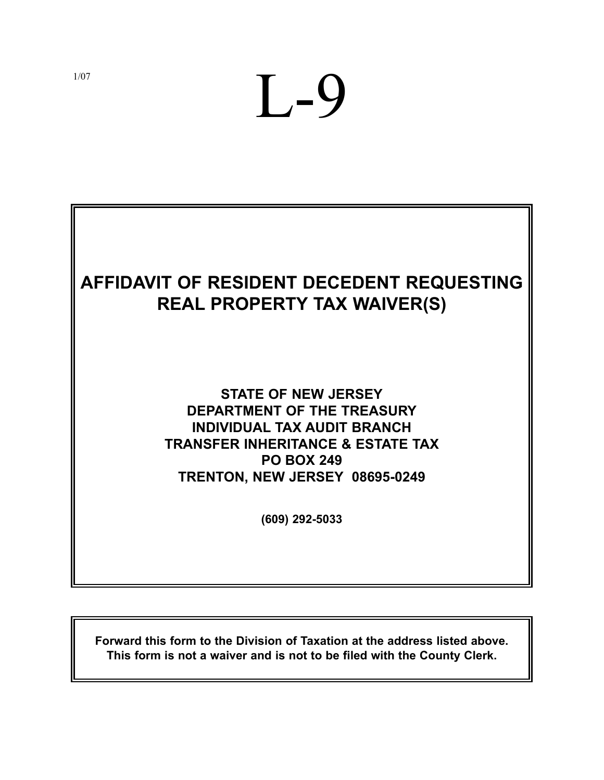# L-9

# **AFFIDAVIT OF RESIDENT DECEDENT REQUESTING REAL PROPERTY TAX WAIVER(S)**

## **STATE OF NEW JERSEY DEPARTMENT OF THE TREASURY INDIVIDUAL TAX AUDIT BRANCH TRANSFER INHERITANCE & ESTATE TAX PO BOX 249 TRENTON, NEW JERSEY 08695-0249**

**(609) 292-5033**

**Forward this form to the Division of Taxation at the address listed above. This form is not a waiver and is not to be filed with the County Clerk.**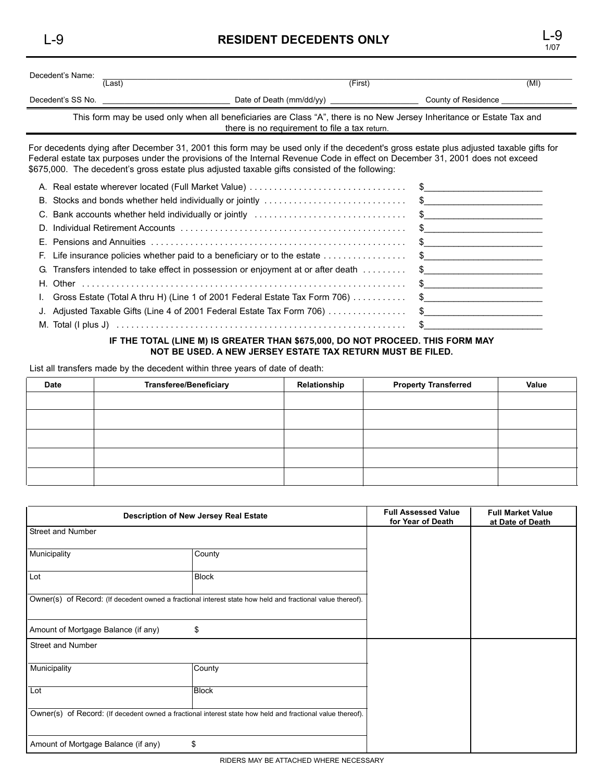## L-9 **RESIDENT DECEDENTS ONLY** L-9

| Decedent's Name:                                                                                                                                                       |        |                          |                     |  |
|------------------------------------------------------------------------------------------------------------------------------------------------------------------------|--------|--------------------------|---------------------|--|
|                                                                                                                                                                        | (Last) | (First)                  | (MI)                |  |
| Decedent's SS No.                                                                                                                                                      |        | Date of Death (mm/dd/yy) | County of Residence |  |
| This form may be used only when all beneficiaries are Class "A", there is no New Jersey Inheritance or Estate Tax and<br>there is no requirement to file a tax return. |        |                          |                     |  |

For decedents dying after December 31, 2001 this form may be used only if the decedent's gross estate plus adjusted taxable gifts for Federal estate tax purposes under the provisions of the Internal Revenue Code in effect on December 31, 2001 does not exceed \$675,000. The decedent's gross estate plus adjusted taxable gifts consisted of the following:

| C. Bank accounts whether held individually or jointly contact and contact and the set of the set of the set of the set of the set of the set of the set of the set of the set of the set of the set of the set of the set of t |  |
|--------------------------------------------------------------------------------------------------------------------------------------------------------------------------------------------------------------------------------|--|
|                                                                                                                                                                                                                                |  |
|                                                                                                                                                                                                                                |  |
|                                                                                                                                                                                                                                |  |
| G. Transfers intended to take effect in possession or enjoyment at or after death  \$                                                                                                                                          |  |
|                                                                                                                                                                                                                                |  |
| 1. Gross Estate (Total A thru H) (Line 1 of 2001 Federal Estate Tax Form 706)  \$                                                                                                                                              |  |
| J. Adjusted Taxable Gifts (Line 4 of 2001 Federal Estate Tax Form 706) \$                                                                                                                                                      |  |
|                                                                                                                                                                                                                                |  |

#### **IF THE TOTAL (LINE M) IS GREATER THAN \$675,000, DO NOT PROCEED. THIS FORM MAY NOT BE USED. A NEW JERSEY ESTATE TAX RETURN MUST BE FILED.**

List all transfers made by the decedent within three years of date of death:

| Date | <b>Transferee/Beneficiary</b> | Relationship | <b>Property Transferred</b> | Value |
|------|-------------------------------|--------------|-----------------------------|-------|
|      |                               |              |                             |       |
|      |                               |              |                             |       |
|      |                               |              |                             |       |
|      |                               |              |                             |       |
|      |                               |              |                             |       |

| Description of New Jersey Real Estate                                                                      | <b>Full Assessed Value</b><br>for Year of Death | <b>Full Market Value</b><br>at Date of Death |  |
|------------------------------------------------------------------------------------------------------------|-------------------------------------------------|----------------------------------------------|--|
| Street and Number                                                                                          |                                                 |                                              |  |
| Municipality                                                                                               | County                                          |                                              |  |
| Lot                                                                                                        | <b>Block</b>                                    |                                              |  |
| Owner(s) of Record: (If decedent owned a fractional interest state how held and fractional value thereof). |                                                 |                                              |  |
| Amount of Mortgage Balance (if any)                                                                        | \$                                              |                                              |  |
| Street and Number                                                                                          |                                                 |                                              |  |
| Municipality                                                                                               | County                                          |                                              |  |
| Lot                                                                                                        | <b>Block</b>                                    |                                              |  |
| Owner(s) of Record: (If decedent owned a fractional interest state how held and fractional value thereof). |                                                 |                                              |  |
| Amount of Mortgage Balance (if any)                                                                        | \$                                              |                                              |  |

1/07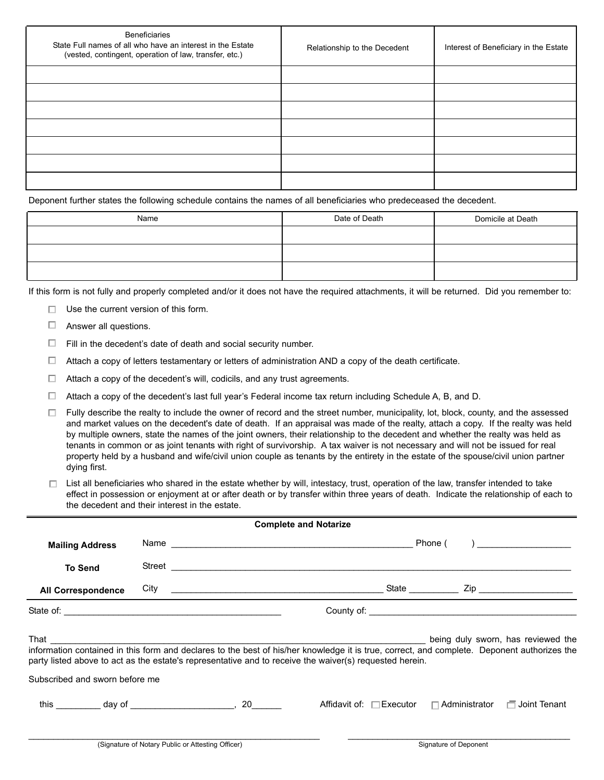| <b>Beneficiaries</b><br>State Full names of all who have an interest in the Estate<br>(vested, contingent, operation of law, transfer, etc.) | Relationship to the Decedent | Interest of Beneficiary in the Estate |
|----------------------------------------------------------------------------------------------------------------------------------------------|------------------------------|---------------------------------------|
|                                                                                                                                              |                              |                                       |
|                                                                                                                                              |                              |                                       |
|                                                                                                                                              |                              |                                       |
|                                                                                                                                              |                              |                                       |
|                                                                                                                                              |                              |                                       |
|                                                                                                                                              |                              |                                       |
|                                                                                                                                              |                              |                                       |

Deponent further states the following schedule contains the names of all beneficiaries who predeceased the decedent.

| Name | Date of Death | Domicile at Death |
|------|---------------|-------------------|
|      |               |                   |
|      |               |                   |
|      |               |                   |

If this form is not fully and properly completed and/or it does not have the required attachments, it will be returned. Did you remember to:

- $\Box$  Use the current version of this form.
- $\Box$  Answer all questions.
- $\Box$  Fill in the decedent's date of death and social security number.
- $\Box$  Attach a copy of letters testamentary or letters of administration AND a copy of the death certificate.
- $\Box$  Attach a copy of the decedent's will, codicils, and any trust agreements.
- $\Box$  Attach a copy of the decedent's last full year's Federal income tax return including Schedule A, B, and D.

 $\Box$  Fully describe the realty to include the owner of record and the street number, municipality, lot, block, county, and the assessed and market values on the decedent's date of death. If an appraisal was made of the realty, attach a copy. If the realty was held by multiple owners, state the names of the joint owners, their relationship to the decedent and whether the realty was held as tenants in common or as joint tenants with right of survivorship. A tax waiver is not necessary and will not be issued for real property held by a husband and wife/civil union couple as tenants by the entirety in the estate of the spouse/civil union partner dying first.

 $\Box$  List all beneficiaries who shared in the estate whether by will, intestacy, trust, operation of the law, transfer intended to take effect in possession or enjoyment at or after death or by transfer within three years of death. Indicate the relationship of each to the decedent and their interest in the estate.

| <b>Complete and Notarize</b>                 |  |  |                                                                                                                                                                                                                                                        |                                                      |  |
|----------------------------------------------|--|--|--------------------------------------------------------------------------------------------------------------------------------------------------------------------------------------------------------------------------------------------------------|------------------------------------------------------|--|
| <b>Mailing Address</b>                       |  |  |                                                                                                                                                                                                                                                        | Phone (<br>) and the set of $\overline{\phantom{a}}$ |  |
| <b>To Send</b>                               |  |  |                                                                                                                                                                                                                                                        |                                                      |  |
| <b>All Correspondence</b>                    |  |  |                                                                                                                                                                                                                                                        |                                                      |  |
|                                              |  |  |                                                                                                                                                                                                                                                        |                                                      |  |
|                                              |  |  | information contained in this form and declares to the best of his/her knowledge it is true, correct, and complete. Deponent authorizes the<br>party listed above to act as the estate's representative and to receive the waiver(s) requested herein. |                                                      |  |
| Subscribed and sworn before me               |  |  |                                                                                                                                                                                                                                                        |                                                      |  |
| this $\frac{1}{2}$ day of $\frac{1}{2}$ , 20 |  |  | Affidavit of: $\square$ Executor $\square$ Administrator $\square$ Joint Tenant                                                                                                                                                                        |                                                      |  |

 $\_$  , and the state of the state of the state of the state of the state of the state of the state of the state of the state of the state of the state of the state of the state of the state of the state of the state of the